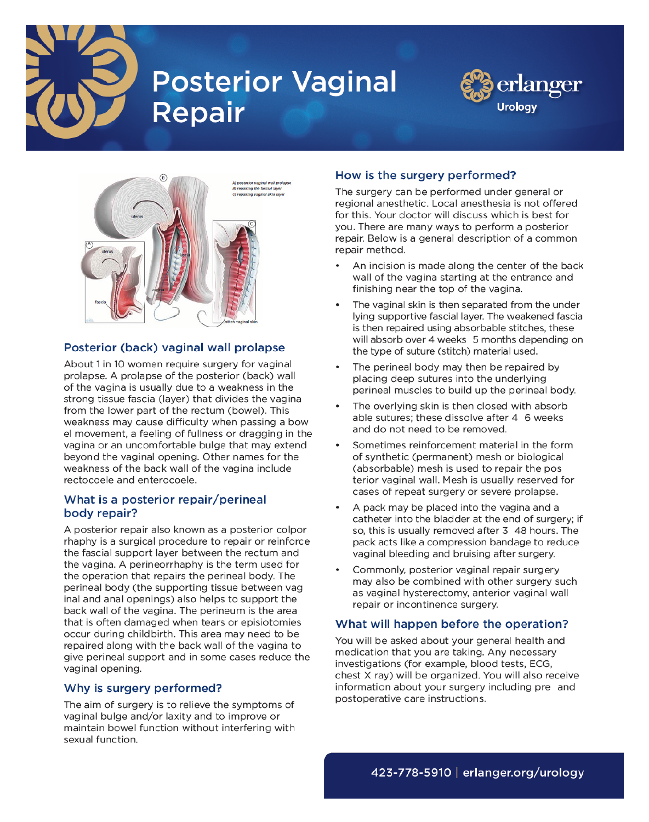

# **Posterior Vaginal Repair**





## Posterior (back) vaginal wall prolapse

About 1 in 10 women require surgery for vaginal prolapse. A prolapse of the posterior (back) wall of the vagina is usually due to a weakness in the strong tissue fascia (layer) that divides the vagina from the lower part of the rectum (bowel). This weakness may cause difficulty when passing a bow el movement, a feeling of fullness or dragging in the vagina or an uncomfortable bulge that may extend beyond the vaginal opening. Other names for the weakness of the back wall of the vagina include rectocoele and enterocoele.

#### What is a posterior repair/perineal body repair?

A posterior repair also known as a posterior colpor rhaphy is a surgical procedure to repair or reinforce the fascial support layer between the rectum and the vagina. A perineorrhaphy is the term used for the operation that repairs the perineal body. The perineal body (the supporting tissue between vag inal and anal openings) also helps to support the back wall of the vagina. The perineum is the area that is often damaged when tears or episiotomies occur during childbirth. This area may need to be repaired along with the back wall of the vagina to give perineal support and in some cases reduce the vaginal opening.

#### Why is surgery performed?

The aim of surgery is to relieve the symptoms of vaginal bulge and/or laxity and to improve or maintain bowel function without interfering with sexual function.

## How is the surgery performed?

The surgery can be performed under general or regional anesthetic. Local anesthesia is not offered for this. Your doctor will discuss which is best for you. There are many ways to perform a posterior repair. Below is a general description of a common repair method.

- An incision is made along the center of the back wall of the vagina starting at the entrance and finishing near the top of the vagina.
- The vaginal skin is then separated from the under lying supportive fascial layer. The weakened fascia is then repaired using absorbable stitches, these will absorb over 4 weeks 5 months depending on the type of suture (stitch) material used.
- The perineal body may then be repaired by placing deep sutures into the underlying perineal muscles to build up the perineal body.
- The overlying skin is then closed with absorb able sutures: these dissolve after 4 6 weeks and do not need to be removed.
- Sometimes reinforcement material in the form of synthetic (permanent) mesh or biological (absorbable) mesh is used to repair the pos terior vaginal wall. Mesh is usually reserved for cases of repeat surgery or severe prolapse.
- A pack may be placed into the vagina and a catheter into the bladder at the end of surgery; if so, this is usually removed after 3 48 hours. The pack acts like a compression bandage to reduce vaginal bleeding and bruising after surgery.
- Commonly, posterior vaginal repair surgery may also be combined with other surgery such as vaginal hysterectomy, anterior vaginal wall repair or incontinence surgery.

#### What will happen before the operation?

You will be asked about your general health and medication that you are taking. Any necessary investigations (for example, blood tests, ECG, chest X ray) will be organized. You will also receive information about your surgery including pre and postoperative care instructions.